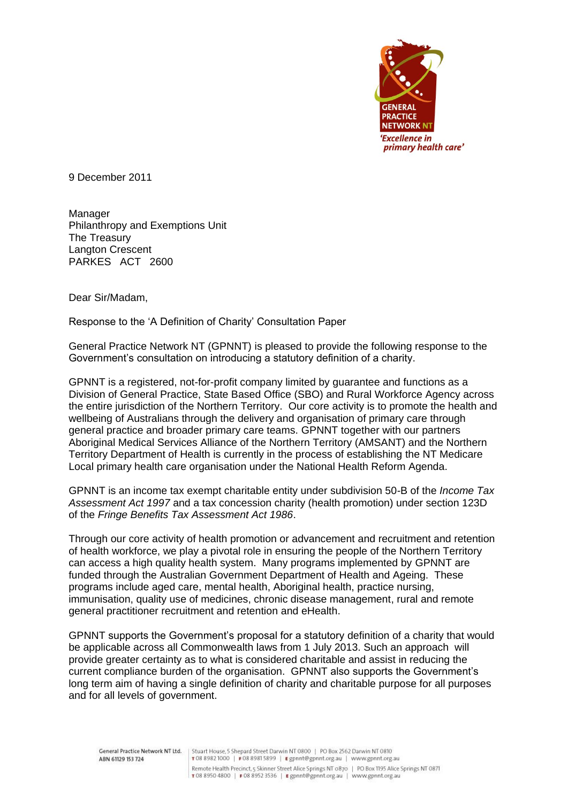

9 December 2011

Manager Philanthropy and Exemptions Unit The Treasury Langton Crescent PARKES ACT 2600

Dear Sir/Madam,

Response to the 'A Definition of Charity' Consultation Paper

General Practice Network NT (GPNNT) is pleased to provide the following response to the Government's consultation on introducing a statutory definition of a charity.

GPNNT is a registered, not-for-profit company limited by guarantee and functions as a Division of General Practice, State Based Office (SBO) and Rural Workforce Agency across the entire jurisdiction of the Northern Territory. Our core activity is to promote the health and wellbeing of Australians through the delivery and organisation of primary care through general practice and broader primary care teams. GPNNT together with our partners Aboriginal Medical Services Alliance of the Northern Territory (AMSANT) and the Northern Territory Department of Health is currently in the process of establishing the NT Medicare Local primary health care organisation under the National Health Reform Agenda.

GPNNT is an income tax exempt charitable entity under subdivision 50-B of the *Income Tax Assessment Act 1997* and a tax concession charity (health promotion) under section 123D of the *Fringe Benefits Tax Assessment Act 1986*.

Through our core activity of health promotion or advancement and recruitment and retention of health workforce, we play a pivotal role in ensuring the people of the Northern Territory can access a high quality health system. Many programs implemented by GPNNT are funded through the Australian Government Department of Health and Ageing. These programs include aged care, mental health, Aboriginal health, practice nursing, immunisation, quality use of medicines, chronic disease management, rural and remote general practitioner recruitment and retention and eHealth.

GPNNT supports the Government's proposal for a statutory definition of a charity that would be applicable across all Commonwealth laws from 1 July 2013. Such an approach will provide greater certainty as to what is considered charitable and assist in reducing the current compliance burden of the organisation. GPNNT also supports the Government's long term aim of having a single definition of charity and charitable purpose for all purposes and for all levels of government.